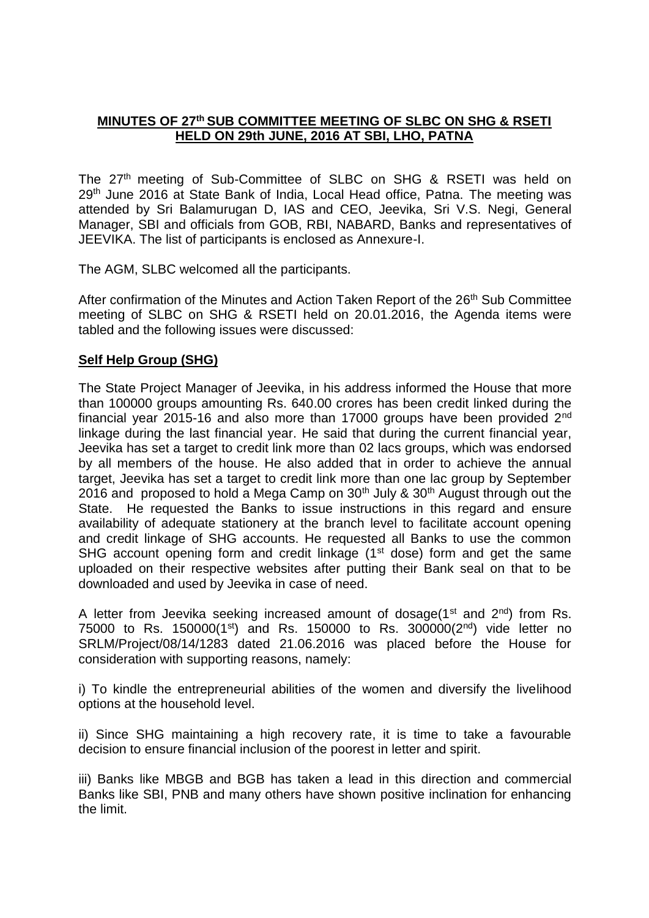# **MINUTES OF 27 th SUB COMMITTEE MEETING OF SLBC ON SHG & RSETI HELD ON 29th JUNE, 2016 AT SBI, LHO, PATNA**

The 27<sup>th</sup> meeting of Sub-Committee of SLBC on SHG & RSETI was held on 29<sup>th</sup> June 2016 at State Bank of India, Local Head office, Patna. The meeting was attended by Sri Balamurugan D, IAS and CEO, Jeevika, Sri V.S. Negi, General Manager, SBI and officials from GOB, RBI, NABARD, Banks and representatives of JEEVIKA. The list of participants is enclosed as Annexure-I.

The AGM, SLBC welcomed all the participants.

After confirmation of the Minutes and Action Taken Report of the 26<sup>th</sup> Sub Committee meeting of SLBC on SHG & RSETI held on 20.01.2016, the Agenda items were tabled and the following issues were discussed:

## **Self Help Group (SHG)**

The State Project Manager of Jeevika, in his address informed the House that more than 100000 groups amounting Rs. 640.00 crores has been credit linked during the financial year 2015-16 and also more than 17000 groups have been provided 2nd linkage during the last financial year. He said that during the current financial year, Jeevika has set a target to credit link more than 02 lacs groups, which was endorsed by all members of the house. He also added that in order to achieve the annual target, Jeevika has set a target to credit link more than one lac group by September 2016 and proposed to hold a Mega Camp on  $30<sup>th</sup>$  July &  $30<sup>th</sup>$  August through out the State. He requested the Banks to issue instructions in this regard and ensure availability of adequate stationery at the branch level to facilitate account opening and credit linkage of SHG accounts. He requested all Banks to use the common SHG account opening form and credit linkage  $(1<sup>st</sup>$  dose) form and get the same uploaded on their respective websites after putting their Bank seal on that to be downloaded and used by Jeevika in case of need.

A letter from Jeevika seeking increased amount of dosage( $1<sup>st</sup>$  and  $2<sup>nd</sup>$ ) from Rs. 75000 to Rs. 150000(1st) and Rs. 150000 to Rs. 300000( $2<sup>nd</sup>$ ) vide letter no SRLM/Project/08/14/1283 dated 21.06.2016 was placed before the House for consideration with supporting reasons, namely:

i) To kindle the entrepreneurial abilities of the women and diversify the livelihood options at the household level.

ii) Since SHG maintaining a high recovery rate, it is time to take a favourable decision to ensure financial inclusion of the poorest in letter and spirit.

iii) Banks like MBGB and BGB has taken a lead in this direction and commercial Banks like SBI, PNB and many others have shown positive inclination for enhancing the limit.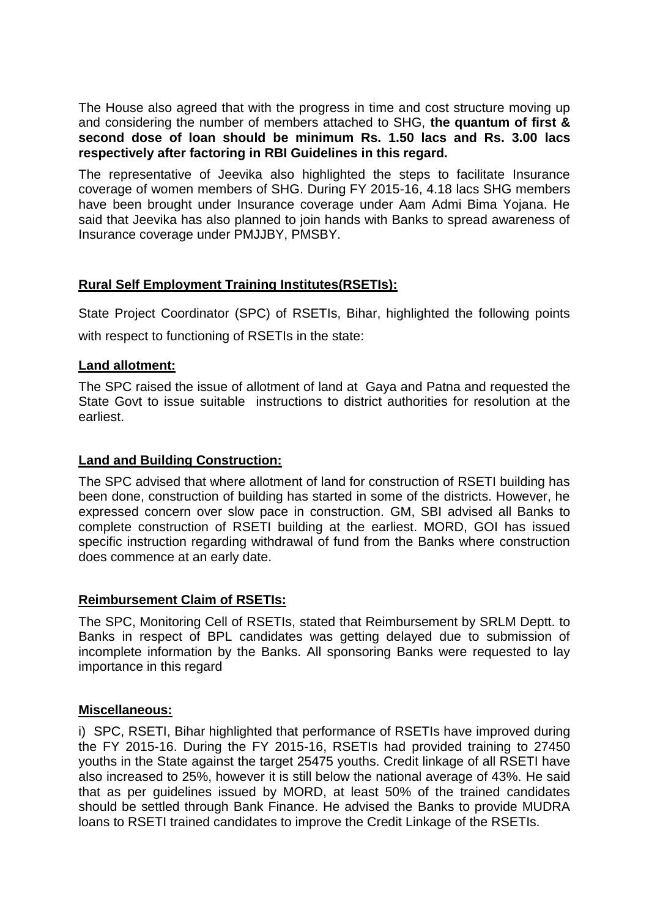The House also agreed that with the progress in time and cost structure moving up and considering the number of members attached to SHG, **the quantum of first & second dose of loan should be minimum Rs. 1.50 lacs and Rs. 3.00 lacs respectively after factoring in RBI Guidelines in this regard.**

The representative of Jeevika also highlighted the steps to facilitate Insurance coverage of women members of SHG. During FY 2015-16, 4.18 lacs SHG members have been brought under Insurance coverage under Aam Admi Bima Yojana. He said that Jeevika has also planned to join hands with Banks to spread awareness of Insurance coverage under PMJJBY, PMSBY.

# **Rural Self Employment Training Institutes(RSETIs):**

State Project Coordinator (SPC) of RSETIs, Bihar, highlighted the following points with respect to functioning of RSETIs in the state:

## **Land allotment:**

The SPC raised the issue of allotment of land at Gaya and Patna and requested the State Govt to issue suitable instructions to district authorities for resolution at the earliest.

# **Land and Building Construction:**

The SPC advised that where allotment of land for construction of RSETI building has been done, construction of building has started in some of the districts. However, he expressed concern over slow pace in construction. GM, SBI advised all Banks to complete construction of RSETI building at the earliest. MORD, GOI has issued specific instruction regarding withdrawal of fund from the Banks where construction does commence at an early date.

# **Reimbursement Claim of RSETIs:**

The SPC, Monitoring Cell of RSETIs, stated that Reimbursement by SRLM Deptt. to Banks in respect of BPL candidates was getting delayed due to submission of incomplete information by the Banks. All sponsoring Banks were requested to lay importance in this regard

## **Miscellaneous:**

i) SPC, RSETI, Bihar highlighted that performance of RSETIs have improved during the FY 2015-16. During the FY 2015-16, RSETIs had provided training to 27450 youths in the State against the target 25475 youths. Credit linkage of all RSETI have also increased to 25%, however it is still below the national average of 43%. He said that as per guidelines issued by MORD, at least 50% of the trained candidates should be settled through Bank Finance. He advised the Banks to provide MUDRA loans to RSETI trained candidates to improve the Credit Linkage of the RSETIs.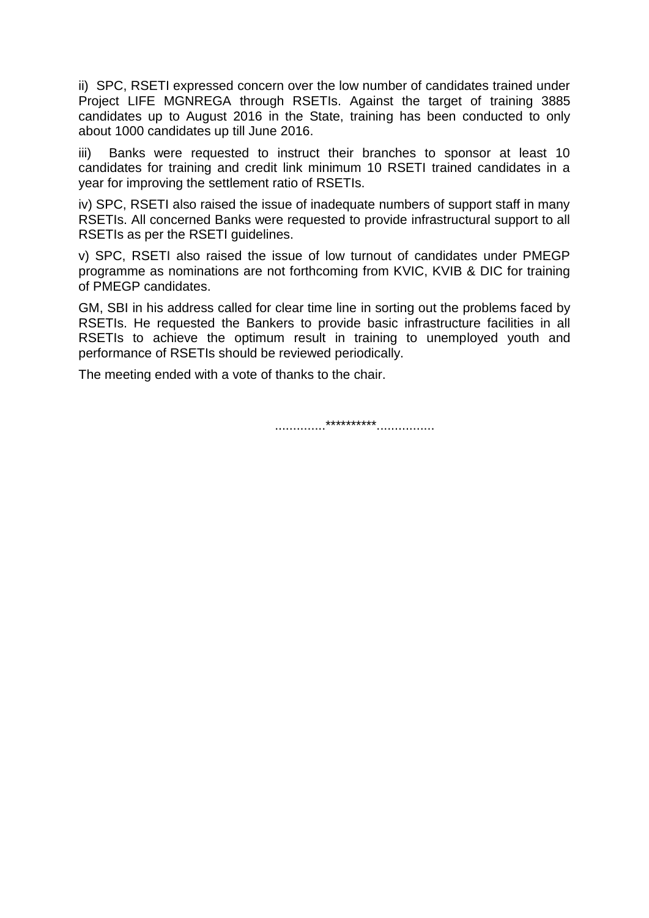ii) SPC, RSETI expressed concern over the low number of candidates trained under Project LIFE MGNREGA through RSETIs. Against the target of training 3885 candidates up to August 2016 in the State, training has been conducted to only about 1000 candidates up till June 2016.

iii) Banks were requested to instruct their branches to sponsor at least 10 candidates for training and credit link minimum 10 RSETI trained candidates in a year for improving the settlement ratio of RSETIs.

iv) SPC, RSETI also raised the issue of inadequate numbers of support staff in many RSETIs. All concerned Banks were requested to provide infrastructural support to all RSETIs as per the RSETI guidelines.

v) SPC, RSETI also raised the issue of low turnout of candidates under PMEGP programme as nominations are not forthcoming from KVIC, KVIB & DIC for training of PMEGP candidates.

GM, SBI in his address called for clear time line in sorting out the problems faced by RSETIs. He requested the Bankers to provide basic infrastructure facilities in all RSETIs to achieve the optimum result in training to unemployed youth and performance of RSETIs should be reviewed periodically.

The meeting ended with a vote of thanks to the chair.

..............\*\*\*\*\*\*\*\*\*\*................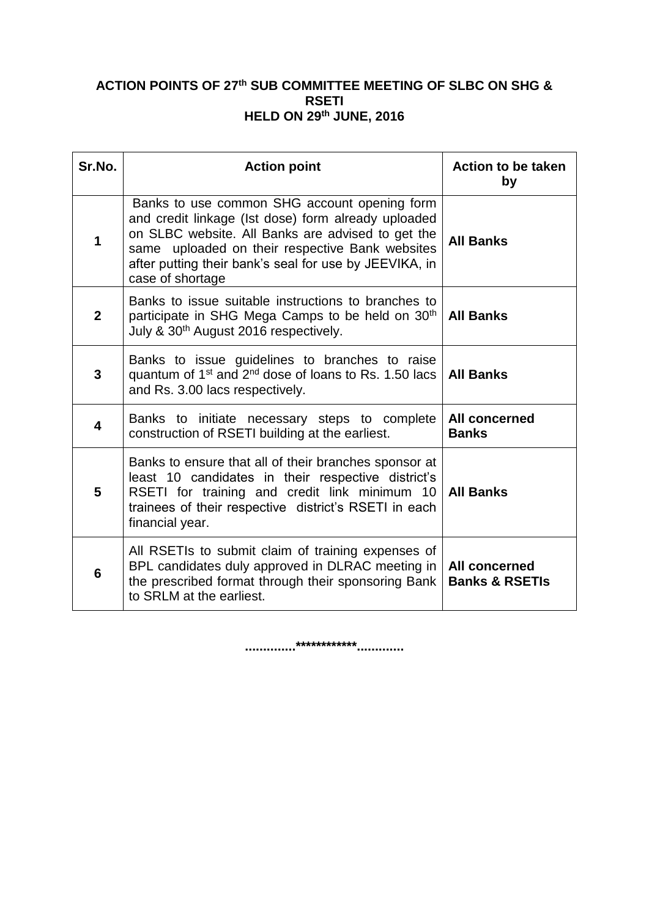## **ACTION POINTS OF 27 th SUB COMMITTEE MEETING OF SLBC ON SHG & RSETI HELD ON 29 th JUNE, 2016**

| Sr.No.       | <b>Action point</b>                                                                                                                                                                                                                                                                       | <b>Action to be taken</b><br>by                   |
|--------------|-------------------------------------------------------------------------------------------------------------------------------------------------------------------------------------------------------------------------------------------------------------------------------------------|---------------------------------------------------|
| 1            | Banks to use common SHG account opening form<br>and credit linkage (Ist dose) form already uploaded<br>on SLBC website. All Banks are advised to get the<br>same uploaded on their respective Bank websites<br>after putting their bank's seal for use by JEEVIKA, in<br>case of shortage | <b>All Banks</b>                                  |
| $\mathbf{2}$ | Banks to issue suitable instructions to branches to<br>participate in SHG Mega Camps to be held on 30 <sup>th</sup><br>July & 30 <sup>th</sup> August 2016 respectively.                                                                                                                  | <b>All Banks</b>                                  |
| 3            | Banks to issue guidelines to branches to raise<br>quantum of $1st$ and $2nd$ dose of loans to Rs. 1.50 lacs<br>and Rs. 3.00 lacs respectively.                                                                                                                                            | <b>All Banks</b>                                  |
| 4            | Banks to initiate necessary steps to complete<br>construction of RSETI building at the earliest.                                                                                                                                                                                          | All concerned<br><b>Banks</b>                     |
| 5            | Banks to ensure that all of their branches sponsor at<br>least 10 candidates in their respective district's<br>RSETI for training and credit link minimum 10<br>trainees of their respective district's RSETI in each<br>financial year.                                                  | <b>All Banks</b>                                  |
| 6            | All RSETIs to submit claim of training expenses of<br>BPL candidates duly approved in DLRAC meeting in<br>the prescribed format through their sponsoring Bank<br>to SRLM at the earliest.                                                                                                 | <b>All concerned</b><br><b>Banks &amp; RSETIS</b> |

**..............\*\*\*\*\*\*\*\*\*\*\*\*.............**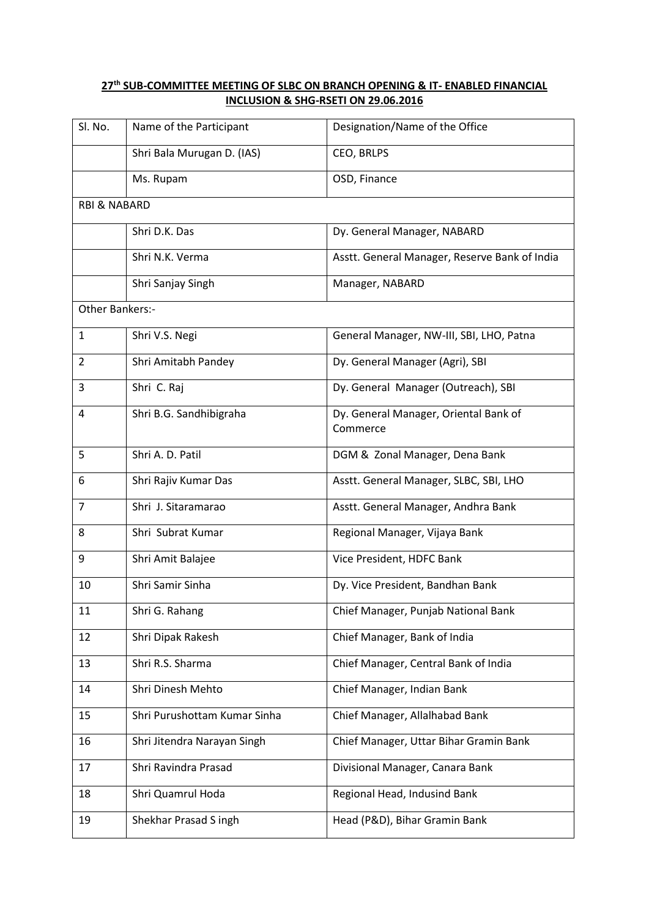### **th SUB-COMMITTEE MEETING OF SLBC ON BRANCH OPENING & IT- ENABLED FINANCIAL INCLUSION & SHG-RSETI ON 29.06.2016**

| Sl. No.                 | Name of the Participant      | Designation/Name of the Office                    |  |  |
|-------------------------|------------------------------|---------------------------------------------------|--|--|
|                         | Shri Bala Murugan D. (IAS)   | CEO, BRLPS                                        |  |  |
|                         | Ms. Rupam                    | OSD, Finance                                      |  |  |
| <b>RBI &amp; NABARD</b> |                              |                                                   |  |  |
|                         | Shri D.K. Das                | Dy. General Manager, NABARD                       |  |  |
|                         | Shri N.K. Verma              | Asstt. General Manager, Reserve Bank of India     |  |  |
|                         | Shri Sanjay Singh            | Manager, NABARD                                   |  |  |
| Other Bankers:-         |                              |                                                   |  |  |
| $\mathbf{1}$            | Shri V.S. Negi               | General Manager, NW-III, SBI, LHO, Patna          |  |  |
| $\overline{2}$          | Shri Amitabh Pandey          | Dy. General Manager (Agri), SBI                   |  |  |
| 3                       | Shri C. Raj                  | Dy. General Manager (Outreach), SBI               |  |  |
| 4                       | Shri B.G. Sandhibigraha      | Dy. General Manager, Oriental Bank of<br>Commerce |  |  |
| 5                       | Shri A. D. Patil             | DGM & Zonal Manager, Dena Bank                    |  |  |
| 6                       | Shri Rajiv Kumar Das         | Asstt. General Manager, SLBC, SBI, LHO            |  |  |
| 7                       | Shri J. Sitaramarao          | Asstt. General Manager, Andhra Bank               |  |  |
| 8                       | Shri Subrat Kumar            | Regional Manager, Vijaya Bank                     |  |  |
| 9                       | Shri Amit Balajee            | Vice President, HDFC Bank                         |  |  |
| 10                      | Shri Samir Sinha             | Dy. Vice President, Bandhan Bank                  |  |  |
| 11                      | Shri G. Rahang               | Chief Manager, Punjab National Bank               |  |  |
| 12                      | Shri Dipak Rakesh            | Chief Manager, Bank of India                      |  |  |
| 13                      | Shri R.S. Sharma             | Chief Manager, Central Bank of India              |  |  |
| 14                      | Shri Dinesh Mehto            | Chief Manager, Indian Bank                        |  |  |
| 15                      | Shri Purushottam Kumar Sinha | Chief Manager, Allalhabad Bank                    |  |  |
| 16                      | Shri Jitendra Narayan Singh  | Chief Manager, Uttar Bihar Gramin Bank            |  |  |
| 17                      | Shri Ravindra Prasad         | Divisional Manager, Canara Bank                   |  |  |
| 18                      | Shri Quamrul Hoda            | Regional Head, Indusind Bank                      |  |  |
| 19                      | Shekhar Prasad S ingh        | Head (P&D), Bihar Gramin Bank                     |  |  |